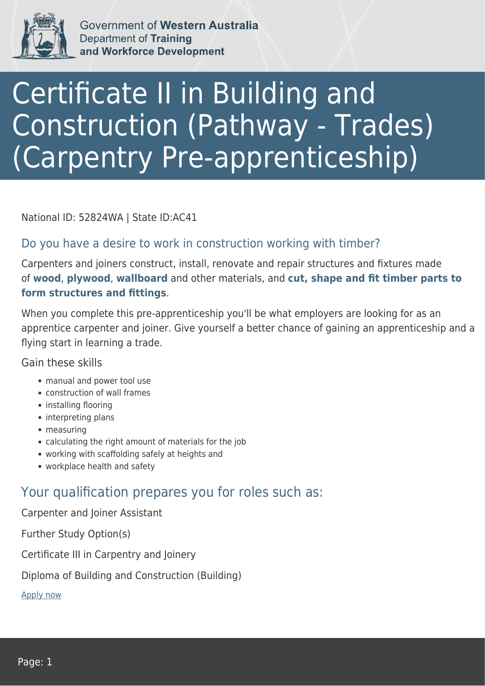

Government of Western Australia **Department of Training** and Workforce Development

# Certificate II in Building and Construction (Pathway - Trades) (Carpentry Pre-apprenticeship)

National ID: 52824WA | State ID:AC41

#### Do you have a desire to work in construction working with timber?

Carpenters and joiners construct, install, renovate and repair structures and fixtures made of **wood**, **plywood**, **wallboard** and other materials, and **cut, shape and fit timber parts to form structures and fittings**.

When you complete this pre-apprenticeship you'll be what employers are looking for as an apprentice carpenter and joiner. Give yourself a better chance of gaining an apprenticeship and a flying start in learning a trade.

Gain these skills

- manual and power tool use
- construction of wall frames
- installing flooring
- interpreting plans
- measuring
- calculating the right amount of materials for the job
- working with scaffolding safely at heights and
- workplace health and safety

### Your qualification prepares you for roles such as:

Carpenter and Joiner Assistant

Further Study Option(s)

Certificate III in Carpentry and Joinery

Diploma of Building and Construction (Building)

[Apply now](https://tasonline.tafe.wa.edu.au/Default.aspx)